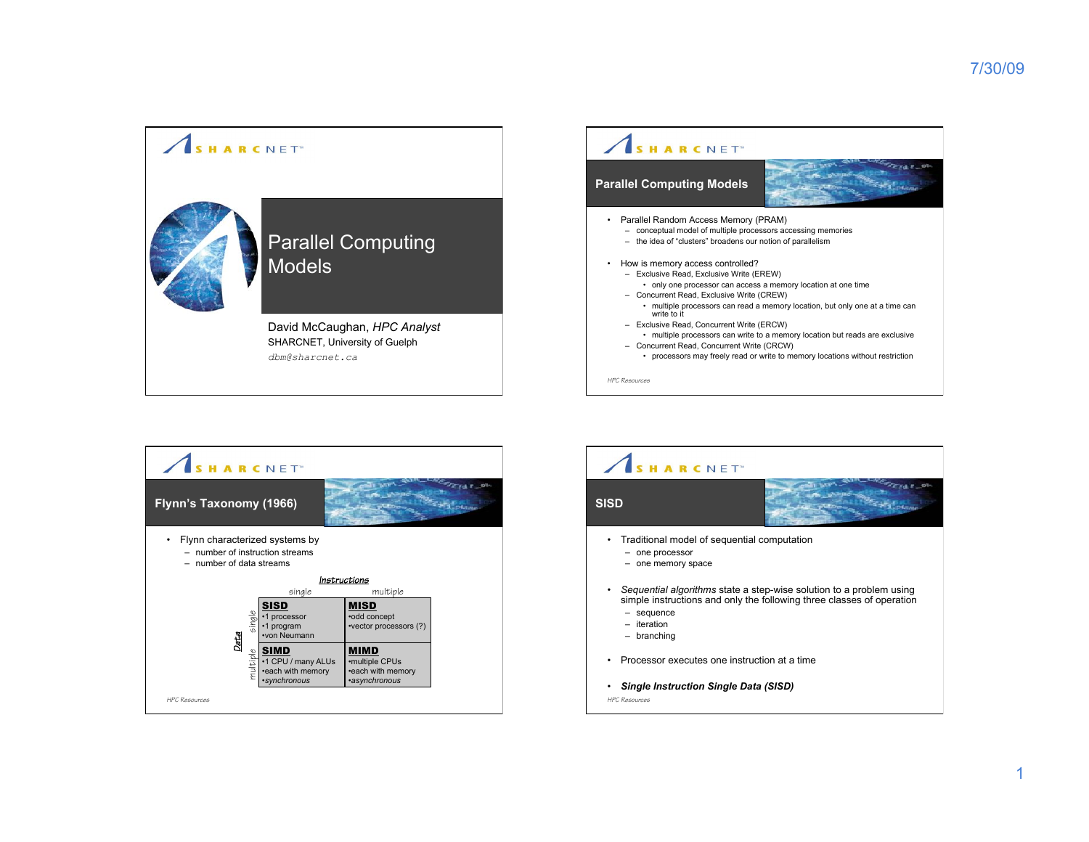



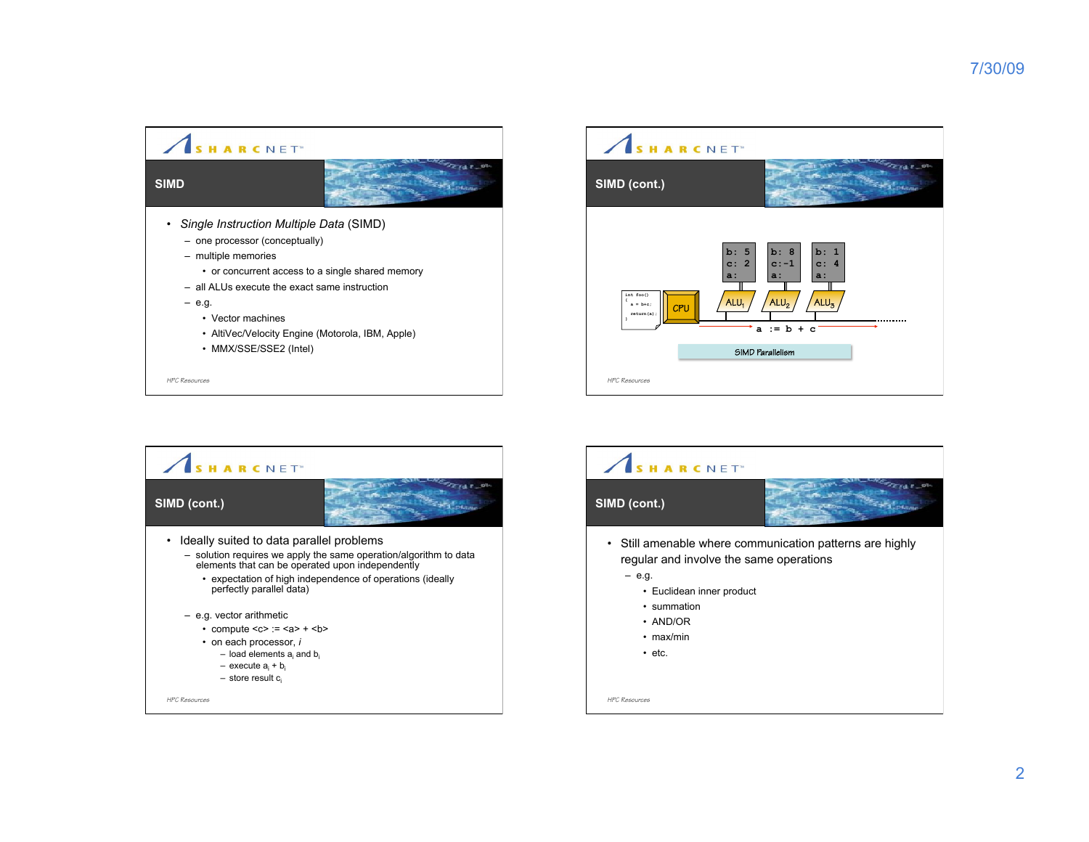$27.47$ 

 $z_{1,1}$ 





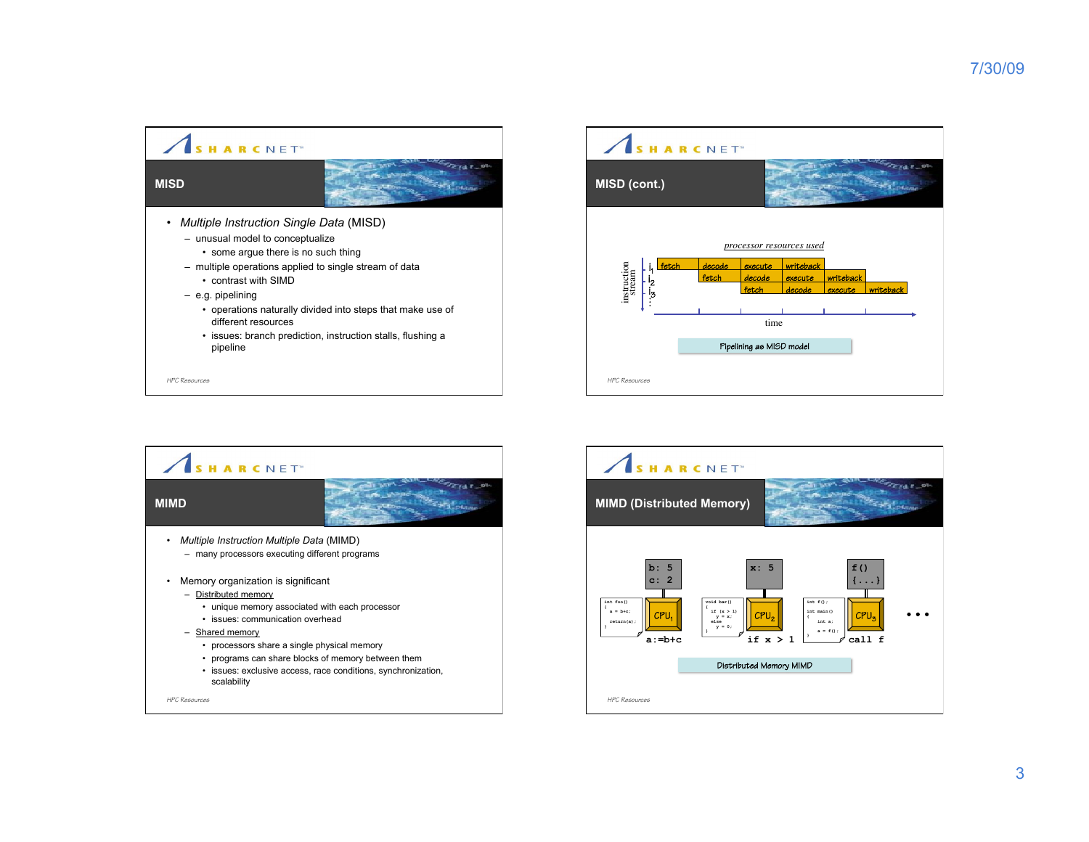





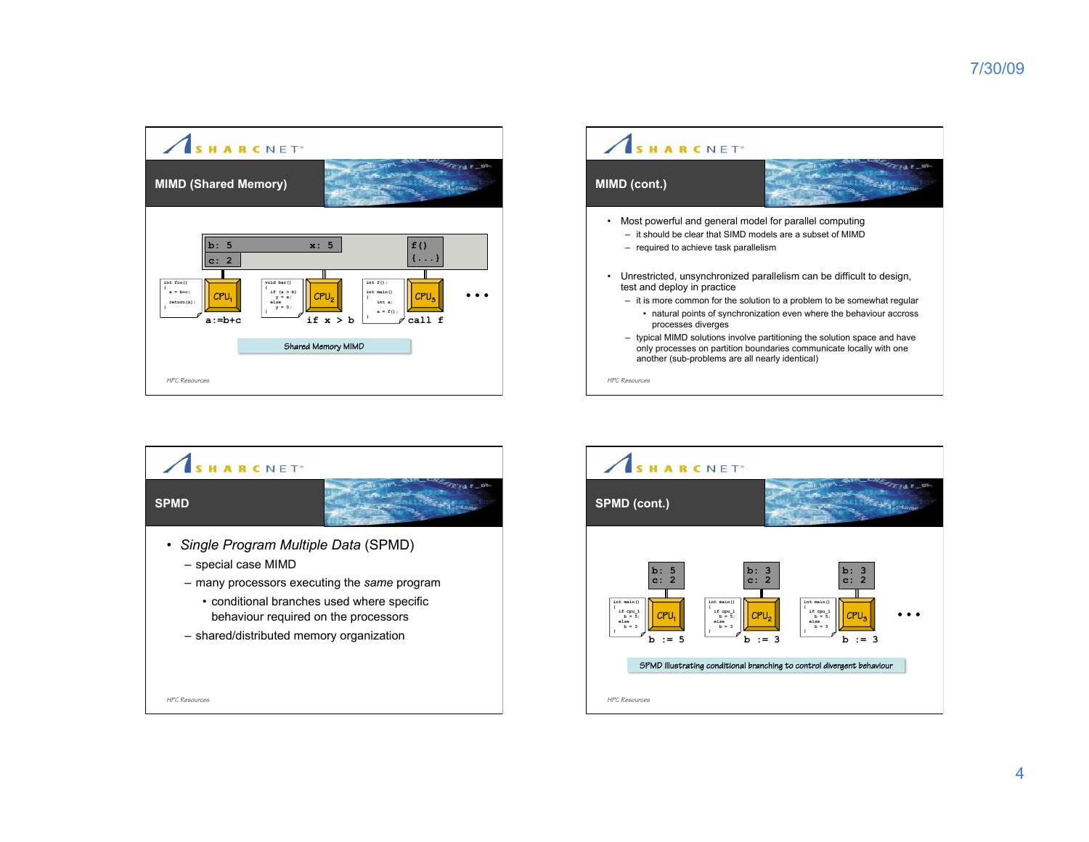





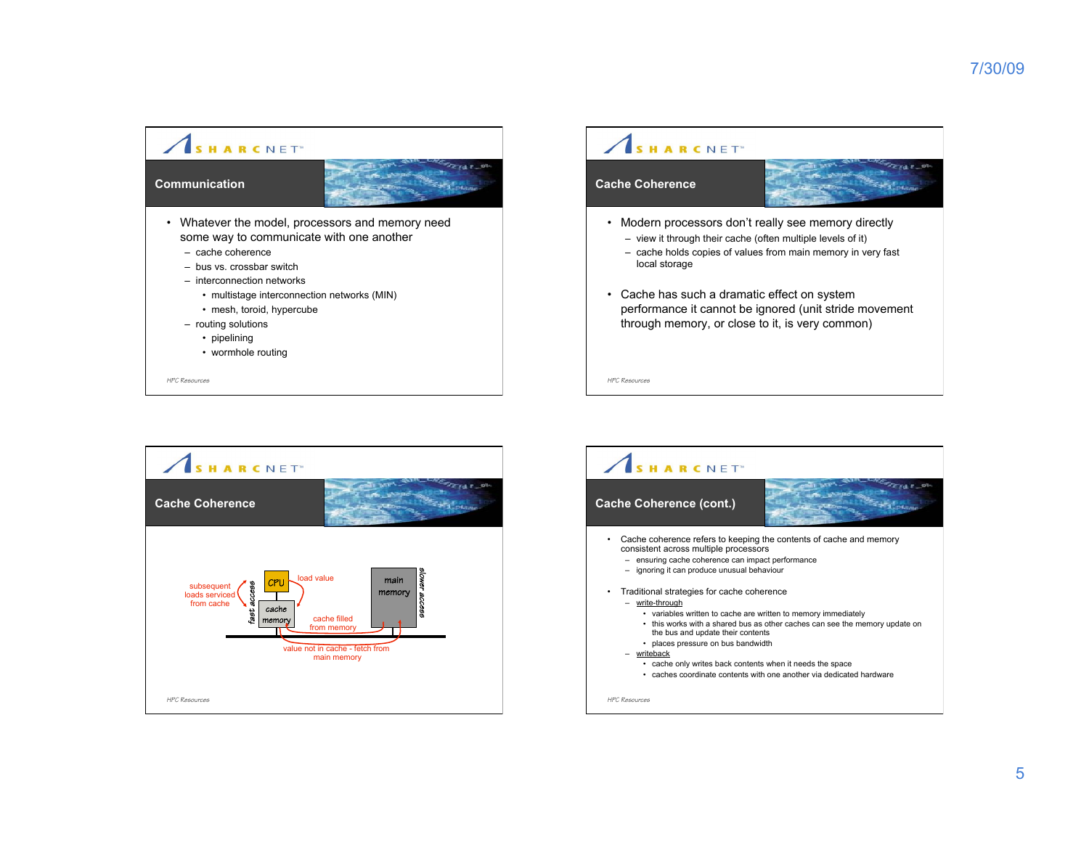





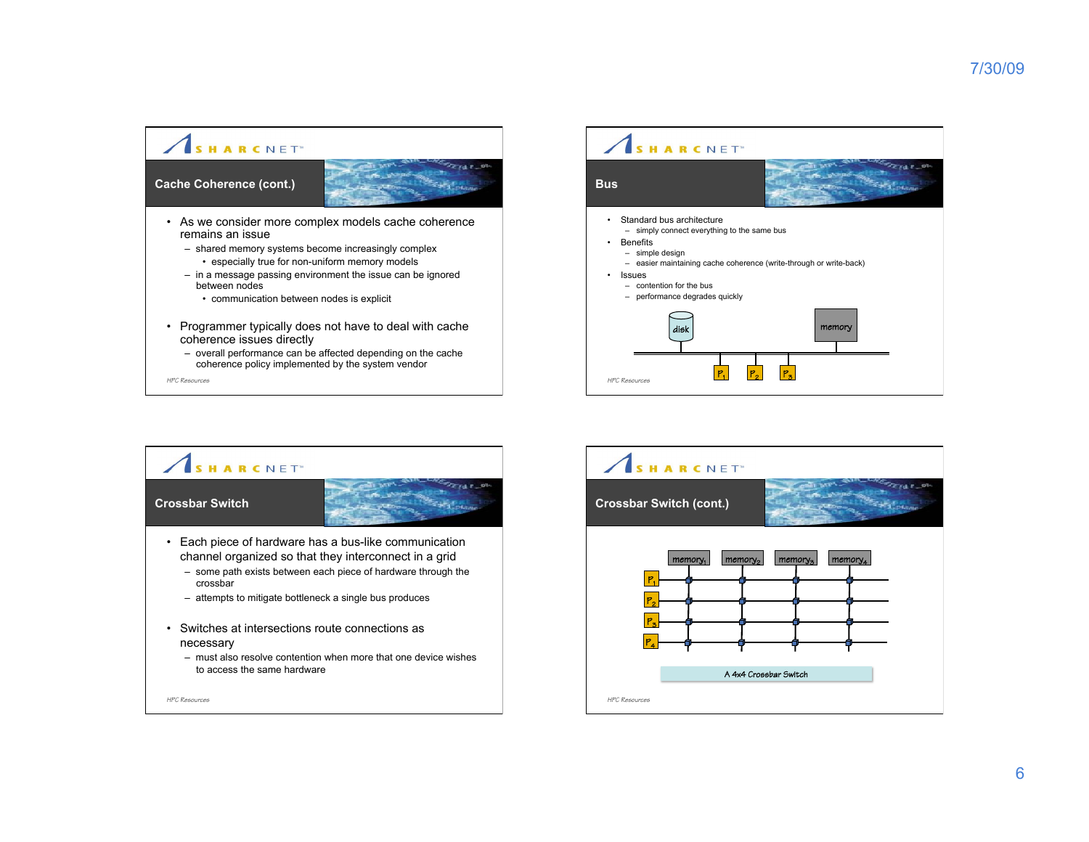

– overall performance can be affected depending on the cache coherence policy implemented by the system vendor





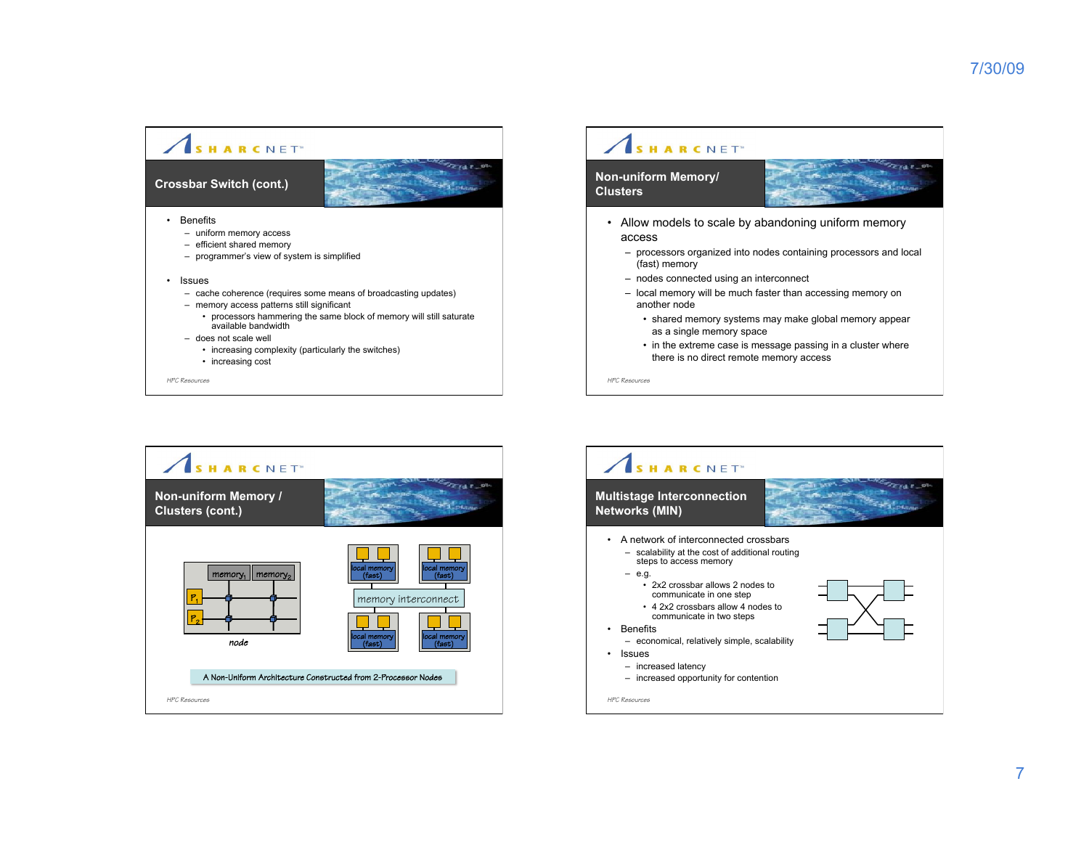

## SHARCNET<sup>®</sup>

## **Non-uniform Memory/ Clusters**



**FIAT 1** 

- Allow models to scale by abandoning uniform memory access
	- processors organized into nodes containing processors and local (fast) memory
	- nodes connected using an interconnect
	- local memory will be much faster than accessing memory on another node
		- shared memory systems may make global memory appear as a single memory space
		- in the extreme case is message passing in a cluster where there is no direct remote memory access